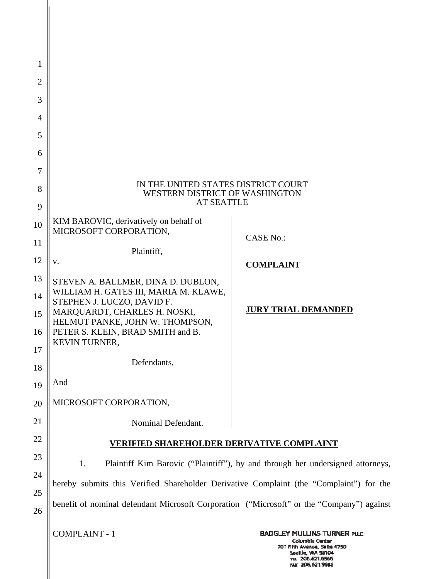| 1              |                                                                                                                                                                                                                                                                              |                                                                                                                                                |  |
|----------------|------------------------------------------------------------------------------------------------------------------------------------------------------------------------------------------------------------------------------------------------------------------------------|------------------------------------------------------------------------------------------------------------------------------------------------|--|
| $\overline{2}$ |                                                                                                                                                                                                                                                                              |                                                                                                                                                |  |
| 3              |                                                                                                                                                                                                                                                                              |                                                                                                                                                |  |
| 4              |                                                                                                                                                                                                                                                                              |                                                                                                                                                |  |
| 5              |                                                                                                                                                                                                                                                                              |                                                                                                                                                |  |
| 6              |                                                                                                                                                                                                                                                                              |                                                                                                                                                |  |
| 7              |                                                                                                                                                                                                                                                                              |                                                                                                                                                |  |
| 8              | IN THE UNITED STATES DISTRICT COURT<br>WESTERN DISTRICT OF WASHINGTON<br><b>AT SEATTLE</b>                                                                                                                                                                                   |                                                                                                                                                |  |
| 9              | KIM BAROVIC, derivatively on behalf of                                                                                                                                                                                                                                       |                                                                                                                                                |  |
| 10             | MICROSOFT CORPORATION,                                                                                                                                                                                                                                                       | <b>CASE No.:</b>                                                                                                                               |  |
| 11             | Plaintiff,                                                                                                                                                                                                                                                                   |                                                                                                                                                |  |
| 12             | V.                                                                                                                                                                                                                                                                           | <b>COMPLAINT</b>                                                                                                                               |  |
| 13             | STEVEN A. BALLMER, DINA D. DUBLON,<br>WILLIAM H. GATES III, MARIA M. KLAWE,                                                                                                                                                                                                  |                                                                                                                                                |  |
| 14<br>15       | STEPHEN J. LUCZO, DAVID F.<br>MARQUARDT, CHARLES H. NOSKI,                                                                                                                                                                                                                   | <b>JURY TRIAL DEMANDED</b>                                                                                                                     |  |
| 16             | HELMUT PANKE, JOHN W. THOMPSON,<br>PETER S. KLEIN, BRAD SMITH and B.                                                                                                                                                                                                         |                                                                                                                                                |  |
| 17             | KEVIN TURNER,                                                                                                                                                                                                                                                                |                                                                                                                                                |  |
| 18             | Defendants,                                                                                                                                                                                                                                                                  |                                                                                                                                                |  |
| 19             | And                                                                                                                                                                                                                                                                          |                                                                                                                                                |  |
| 20             | MICROSOFT CORPORATION,                                                                                                                                                                                                                                                       |                                                                                                                                                |  |
| 21             | Nominal Defendant.                                                                                                                                                                                                                                                           |                                                                                                                                                |  |
| 22             | <b>VERIFIED SHAREHOLDER DERIVATIVE COMPLAINT</b>                                                                                                                                                                                                                             |                                                                                                                                                |  |
| 23             | Plaintiff Kim Barovic ("Plaintiff"), by and through her undersigned attorneys,<br>1.<br>hereby submits this Verified Shareholder Derivative Complaint (the "Complaint") for the<br>benefit of nominal defendant Microsoft Corporation ("Microsoft" or the "Company") against |                                                                                                                                                |  |
| 24             |                                                                                                                                                                                                                                                                              |                                                                                                                                                |  |
| 25<br>26       |                                                                                                                                                                                                                                                                              |                                                                                                                                                |  |
|                | <b>COMPLAINT - 1</b>                                                                                                                                                                                                                                                         | <b>BADGLEY MULLINS TURNER PLLC</b><br>Columbia Center<br>701 Fifth Avenue, Suite 4750<br>Seattle, WA 98104<br>206.621.6566<br>rax 206.621.9686 |  |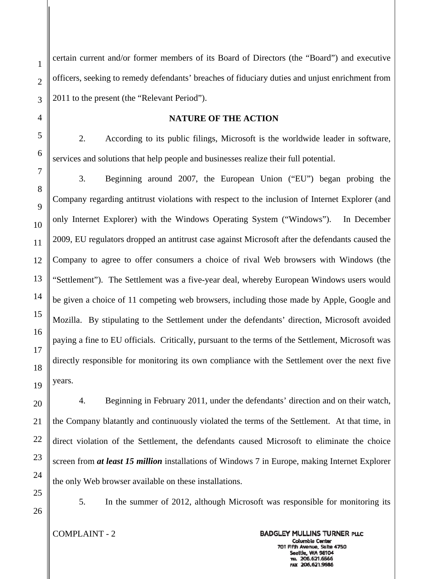certain current and/or former members of its Board of Directors (the "Board") and executive officers, seeking to remedy defendants' breaches of fiduciary duties and unjust enrichment from 2011 to the present (the "Relevant Period").

#### **NATURE OF THE ACTION**

2. According to its public filings, Microsoft is the worldwide leader in software, services and solutions that help people and businesses realize their full potential.

3. Beginning around 2007, the European Union ("EU") began probing the Company regarding antitrust violations with respect to the inclusion of Internet Explorer (and only Internet Explorer) with the Windows Operating System ("Windows"). In December 2009, EU regulators dropped an antitrust case against Microsoft after the defendants caused the Company to agree to offer consumers a choice of rival Web browsers with Windows (the "Settlement"). The Settlement was a five-year deal, whereby European Windows users would be given a choice of 11 competing web browsers, including those made by Apple, Google and Mozilla. By stipulating to the Settlement under the defendants' direction, Microsoft avoided paying a fine to EU officials. Critically, pursuant to the terms of the Settlement, Microsoft was directly responsible for monitoring its own compliance with the Settlement over the next five years.

4. Beginning in February 2011, under the defendants' direction and on their watch, the Company blatantly and continuously violated the terms of the Settlement. At that time, in direct violation of the Settlement, the defendants caused Microsoft to eliminate the choice screen from *at least 15 million* installations of Windows 7 in Europe, making Internet Explorer the only Web browser available on these installations.

5. In the summer of 2012, although Microsoft was responsible for monitoring its

#### COMPLAINT - 2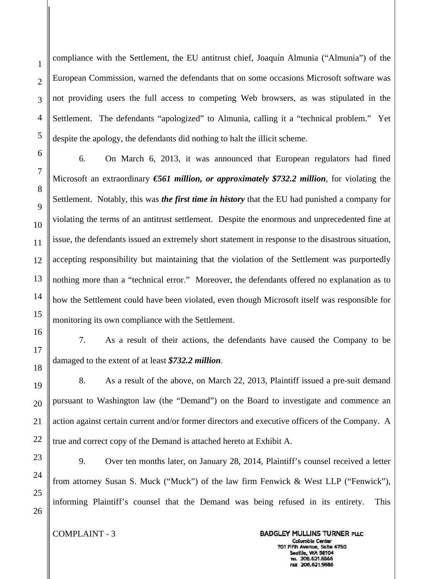1

2

3

4

compliance with the Settlement, the EU antitrust chief, Joaquín Almunia ("Almunia") of the European Commission, warned the defendants that on some occasions Microsoft software was not providing users the full access to competing Web browsers, as was stipulated in the Settlement. The defendants "apologized" to Almunia, calling it a "technical problem." Yet despite the apology, the defendants did nothing to halt the illicit scheme.

6. On March 6, 2013, it was announced that European regulators had fined Microsoft an extraordinary *€561 million, or approximately \$732.2 million*, for violating the Settlement. Notably, this was *the first time in history* that the EU had punished a company for violating the terms of an antitrust settlement. Despite the enormous and unprecedented fine at issue, the defendants issued an extremely short statement in response to the disastrous situation, accepting responsibility but maintaining that the violation of the Settlement was purportedly nothing more than a "technical error." Moreover, the defendants offered no explanation as to how the Settlement could have been violated, even though Microsoft itself was responsible for monitoring its own compliance with the Settlement.

7. As a result of their actions, the defendants have caused the Company to be damaged to the extent of at least *\$732.2 million*.

8. As a result of the above, on March 22, 2013, Plaintiff issued a pre-suit demand pursuant to Washington law (the "Demand") on the Board to investigate and commence an action against certain current and/or former directors and executive officers of the Company. A true and correct copy of the Demand is attached hereto at Exhibit A.

9. Over ten months later, on January 28, 2014, Plaintiff's counsel received a letter from attorney Susan S. Muck ("Muck") of the law firm Fenwick & West LLP ("Fenwick"), informing Plaintiff's counsel that the Demand was being refused in its entirety. This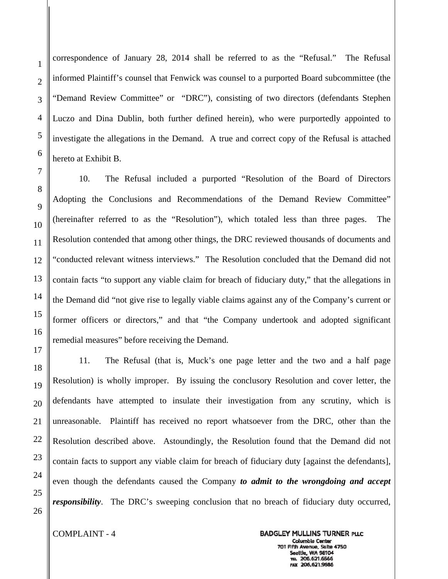correspondence of January 28, 2014 shall be referred to as the "Refusal." The Refusal informed Plaintiff's counsel that Fenwick was counsel to a purported Board subcommittee (the "Demand Review Committee" or "DRC"), consisting of two directors (defendants Stephen Luczo and Dina Dublin, both further defined herein), who were purportedly appointed to investigate the allegations in the Demand. A true and correct copy of the Refusal is attached hereto at Exhibit B.

10. The Refusal included a purported "Resolution of the Board of Directors Adopting the Conclusions and Recommendations of the Demand Review Committee" (hereinafter referred to as the "Resolution"), which totaled less than three pages. The Resolution contended that among other things, the DRC reviewed thousands of documents and "conducted relevant witness interviews." The Resolution concluded that the Demand did not contain facts "to support any viable claim for breach of fiduciary duty," that the allegations in the Demand did "not give rise to legally viable claims against any of the Company's current or former officers or directors," and that "the Company undertook and adopted significant remedial measures" before receiving the Demand.

11. The Refusal (that is, Muck's one page letter and the two and a half page Resolution) is wholly improper. By issuing the conclusory Resolution and cover letter, the defendants have attempted to insulate their investigation from any scrutiny, which is unreasonable. Plaintiff has received no report whatsoever from the DRC, other than the Resolution described above. Astoundingly, the Resolution found that the Demand did not contain facts to support any viable claim for breach of fiduciary duty [against the defendants], even though the defendants caused the Company *to admit to the wrongdoing and accept responsibility*. The DRC's sweeping conclusion that no breach of fiduciary duty occurred,

1

COMPLAINT - 4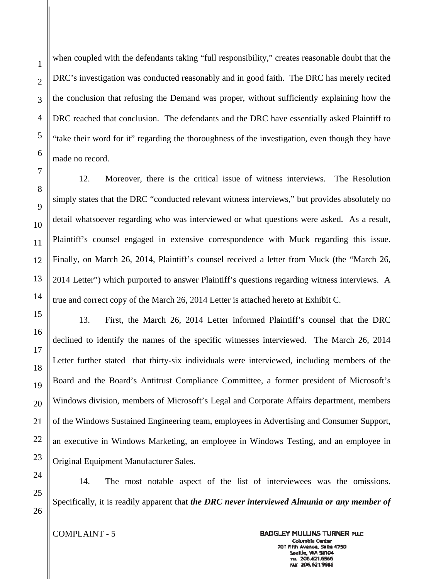when coupled with the defendants taking "full responsibility," creates reasonable doubt that the DRC's investigation was conducted reasonably and in good faith. The DRC has merely recited the conclusion that refusing the Demand was proper, without sufficiently explaining how the DRC reached that conclusion. The defendants and the DRC have essentially asked Plaintiff to "take their word for it" regarding the thoroughness of the investigation, even though they have made no record.

12. Moreover, there is the critical issue of witness interviews. The Resolution simply states that the DRC "conducted relevant witness interviews," but provides absolutely no detail whatsoever regarding who was interviewed or what questions were asked. As a result, Plaintiff's counsel engaged in extensive correspondence with Muck regarding this issue. Finally, on March 26, 2014, Plaintiff's counsel received a letter from Muck (the "March 26, 2014 Letter") which purported to answer Plaintiff's questions regarding witness interviews. A true and correct copy of the March 26, 2014 Letter is attached hereto at Exhibit C.

13. First, the March 26, 2014 Letter informed Plaintiff's counsel that the DRC declined to identify the names of the specific witnesses interviewed. The March 26, 2014 Letter further stated that thirty-six individuals were interviewed, including members of the Board and the Board's Antitrust Compliance Committee, a former president of Microsoft's Windows division, members of Microsoft's Legal and Corporate Affairs department, members of the Windows Sustained Engineering team, employees in Advertising and Consumer Support, an executive in Windows Marketing, an employee in Windows Testing, and an employee in Original Equipment Manufacturer Sales.

14. The most notable aspect of the list of interviewees was the omissions. Specifically, it is readily apparent that *the DRC never interviewed Almunia or any member of* 

#### COMPLAINT - 5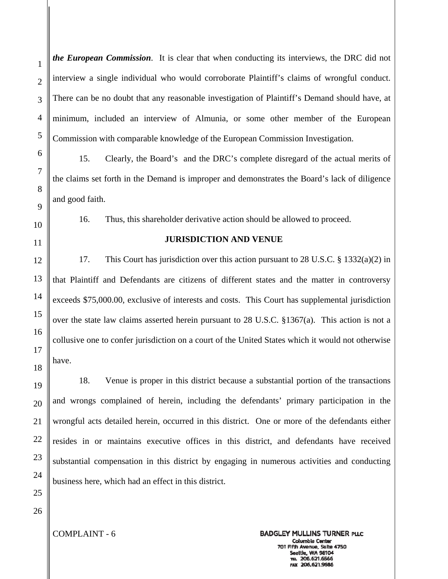*the European Commission*. It is clear that when conducting its interviews, the DRC did not interview a single individual who would corroborate Plaintiff's claims of wrongful conduct. There can be no doubt that any reasonable investigation of Plaintiff's Demand should have, at minimum, included an interview of Almunia, or some other member of the European Commission with comparable knowledge of the European Commission Investigation.

15. Clearly, the Board's and the DRC's complete disregard of the actual merits of the claims set forth in the Demand is improper and demonstrates the Board's lack of diligence and good faith.

16. Thus, this shareholder derivative action should be allowed to proceed.

## **JURISDICTION AND VENUE**

17. This Court has jurisdiction over this action pursuant to 28 U.S.C.  $\S$  1332(a)(2) in that Plaintiff and Defendants are citizens of different states and the matter in controversy exceeds \$75,000.00, exclusive of interests and costs. This Court has supplemental jurisdiction over the state law claims asserted herein pursuant to 28 U.S.C.  $\S 1367(a)$ . This action is not a collusive one to confer jurisdiction on a court of the United States which it would not otherwise have.

18. Venue is proper in this district because a substantial portion of the transactions and wrongs complained of herein, including the defendants' primary participation in the wrongful acts detailed herein, occurred in this district. One or more of the defendants either resides in or maintains executive offices in this district, and defendants have received substantial compensation in this district by engaging in numerous activities and conducting business here, which had an effect in this district.

1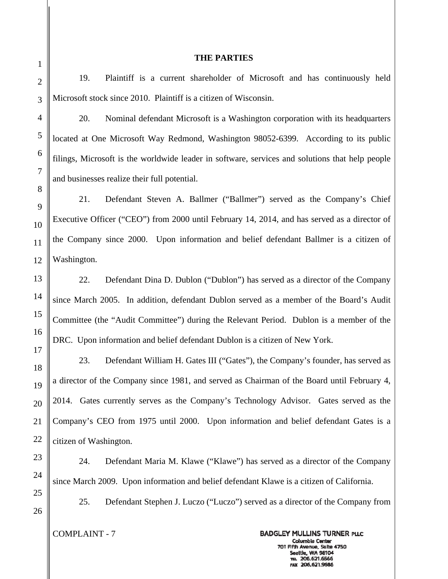#### **THE PARTIES**

19. Plaintiff is a current shareholder of Microsoft and has continuously held Microsoft stock since 2010. Plaintiff is a citizen of Wisconsin.

20. Nominal defendant Microsoft is a Washington corporation with its headquarters located at One Microsoft Way Redmond, Washington 98052-6399. According to its public filings, Microsoft is the worldwide leader in software, services and solutions that help people and businesses realize their full potential.

21. Defendant Steven A. Ballmer ("Ballmer") served as the Company's Chief Executive Officer ("CEO") from 2000 until February 14, 2014, and has served as a director of the Company since 2000. Upon information and belief defendant Ballmer is a citizen of Washington.

22. Defendant Dina D. Dublon ("Dublon") has served as a director of the Company since March 2005. In addition, defendant Dublon served as a member of the Board's Audit Committee (the "Audit Committee") during the Relevant Period. Dublon is a member of the DRC. Upon information and belief defendant Dublon is a citizen of New York.

23. Defendant William H. Gates III ("Gates"), the Company's founder, has served as a director of the Company since 1981, and served as Chairman of the Board until February 4, 2014. Gates currently serves as the Company's Technology Advisor. Gates served as the Company's CEO from 1975 until 2000. Upon information and belief defendant Gates is a citizen of Washington.

24. Defendant Maria M. Klawe ("Klawe") has served as a director of the Company since March 2009. Upon information and belief defendant Klawe is a citizen of California.

25. Defendant Stephen J. Luczo ("Luczo") served as a director of the Company from

COMPLAINT - 7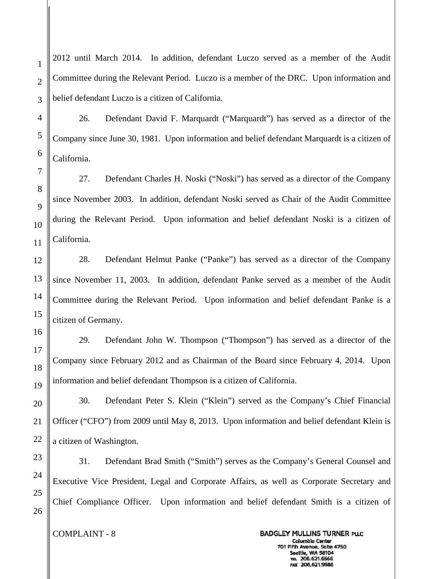2012 until March 2014. In addition, defendant Luczo served as a member of the Audit Committee during the Relevant Period. Luczo is a member of the DRC. Upon information and belief defendant Luczo is a citizen of California.

26. Defendant David F. Marquardt ("Marquardt") has served as a director of the Company since June 30, 1981. Upon information and belief defendant Marquardt is a citizen of California.

27. Defendant Charles H. Noski ("Noski") has served as a director of the Company since November 2003. In addition, defendant Noski served as Chair of the Audit Committee during the Relevant Period. Upon information and belief defendant Noski is a citizen of California.

28. Defendant Helmut Panke ("Panke") has served as a director of the Company since November 11, 2003. In addition, defendant Panke served as a member of the Audit Committee during the Relevant Period. Upon information and belief defendant Panke is a citizen of Germany.

29. Defendant John W. Thompson ("Thompson") has served as a director of the Company since February 2012 and as Chairman of the Board since February 4, 2014. Upon information and belief defendant Thompson is a citizen of California.

30. Defendant Peter S. Klein ("Klein") served as the Company's Chief Financial Officer ("CFO") from 2009 until May 8, 2013. Upon information and belief defendant Klein is a citizen of Washington.

31. Defendant Brad Smith ("Smith") serves as the Company's General Counsel and Executive Vice President, Legal and Corporate Affairs, as well as Corporate Secretary and Chief Compliance Officer. Upon information and belief defendant Smith is a citizen of

COMPLAINT - 8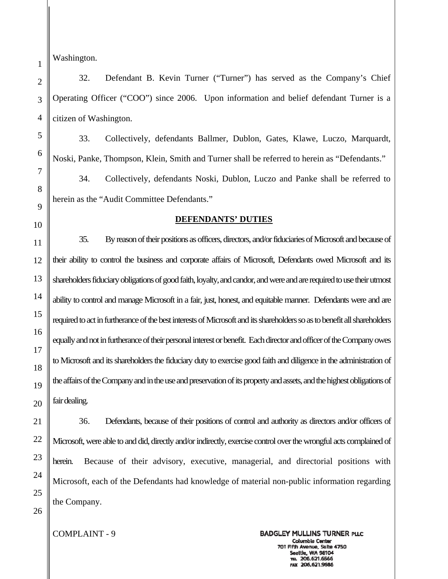Washington.

1

32. Defendant B. Kevin Turner ("Turner") has served as the Company's Chief Operating Officer ("COO") since 2006. Upon information and belief defendant Turner is a citizen of Washington.

33. Collectively, defendants Ballmer, Dublon, Gates, Klawe, Luczo, Marquardt, Noski, Panke, Thompson, Klein, Smith and Turner shall be referred to herein as "Defendants." 34. Collectively, defendants Noski, Dublon, Luczo and Panke shall be referred to herein as the "Audit Committee Defendants."

#### **DEFENDANTS' DUTIES**

35. By reason of their positions as officers, directors, and/or fiduciaries of Microsoft and because of their ability to control the business and corporate affairs of Microsoft, Defendants owed Microsoft and its shareholders fiduciary obligations of good faith, loyalty, and candor, and were and are required to use their utmost ability to control and manage Microsoft in a fair, just, honest, and equitable manner. Defendants were and are required to act in furtherance of the best interests of Microsoft and its shareholders so as to benefit all shareholders equally and not in furtherance of their personal interest or benefit. Each director and officer of the Company owes to Microsoft and its shareholders the fiduciary duty to exercise good faith and diligence in the administration of the affairs of the Company and in the use and preservation of its property and assets, and the highest obligations of fair dealing.

36. Defendants, because of their positions of control and authority as directors and/or officers of Microsoft, were able to and did, directly and/or indirectly, exercise control over the wrongful acts complained of herein. Because of their advisory, executive, managerial, and directorial positions with Microsoft, each of the Defendants had knowledge of material non-public information regarding the Company.

COMPLAINT - 9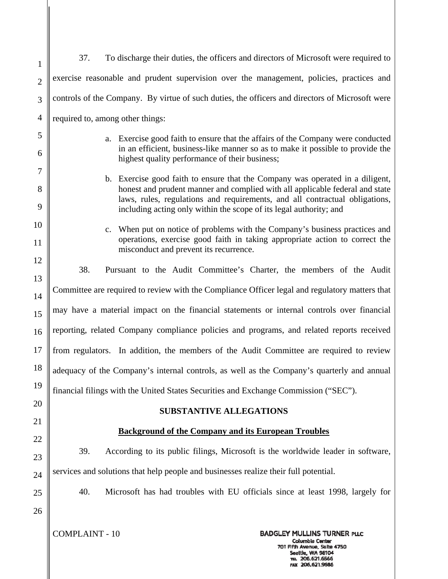| $\mathbf{1}$   | 37.<br>To discharge their duties, the officers and directors of Microsoft were required to                                                                                                                                        |  |  |
|----------------|-----------------------------------------------------------------------------------------------------------------------------------------------------------------------------------------------------------------------------------|--|--|
| $\overline{2}$ | exercise reasonable and prudent supervision over the management, policies, practices and                                                                                                                                          |  |  |
| 3              | controls of the Company. By virtue of such duties, the officers and directors of Microsoft were                                                                                                                                   |  |  |
| $\overline{4}$ | required to, among other things:                                                                                                                                                                                                  |  |  |
| 5              | a. Exercise good faith to ensure that the affairs of the Company were conducted                                                                                                                                                   |  |  |
| 6              | in an efficient, business-like manner so as to make it possible to provide the<br>highest quality performance of their business;                                                                                                  |  |  |
| 7              | b. Exercise good faith to ensure that the Company was operated in a diligent,                                                                                                                                                     |  |  |
| 8              | honest and prudent manner and complied with all applicable federal and state<br>laws, rules, regulations and requirements, and all contractual obligations,<br>including acting only within the scope of its legal authority; and |  |  |
| 9              |                                                                                                                                                                                                                                   |  |  |
| 10<br>11       | When put on notice of problems with the Company's business practices and<br>$C_{\bullet}$<br>operations, exercise good faith in taking appropriate action to correct the                                                          |  |  |
|                | misconduct and prevent its recurrence.                                                                                                                                                                                            |  |  |
| 12<br>13       | 38.<br>Pursuant to the Audit Committee's Charter, the members of the Audit                                                                                                                                                        |  |  |
| 14             | Committee are required to review with the Compliance Officer legal and regulatory matters that                                                                                                                                    |  |  |
| 15             | may have a material impact on the financial statements or internal controls over financial                                                                                                                                        |  |  |
| 16             | reporting, related Company compliance policies and programs, and related reports received                                                                                                                                         |  |  |
| 17             | from regulators. In addition, the members of the Audit Committee are required to review                                                                                                                                           |  |  |
| 18             | adequacy of the Company's internal controls, as well as the Company's quarterly and annual                                                                                                                                        |  |  |
| 19             | financial filings with the United States Securities and Exchange Commission ("SEC").                                                                                                                                              |  |  |
| 20             | <b>SUBSTANTIVE ALLEGATIONS</b>                                                                                                                                                                                                    |  |  |
| 21             | <b>Background of the Company and its European Troubles</b>                                                                                                                                                                        |  |  |
| 22             | According to its public filings, Microsoft is the worldwide leader in software,<br>39.                                                                                                                                            |  |  |
| 23             |                                                                                                                                                                                                                                   |  |  |
| 24             | services and solutions that help people and businesses realize their full potential.                                                                                                                                              |  |  |
| 25             | 40.<br>Microsoft has had troubles with EU officials since at least 1998, largely for                                                                                                                                              |  |  |
| 26             |                                                                                                                                                                                                                                   |  |  |
|                | <b>COMPLAINT - 10</b><br><b>BADGLEY MULLINS TURNER PLLC</b><br>Columbia Center<br>701 Fifth Avenue, Suite 4750<br>Seattle, WA 98104<br>206.621.6566<br>rax 206.621.9686                                                           |  |  |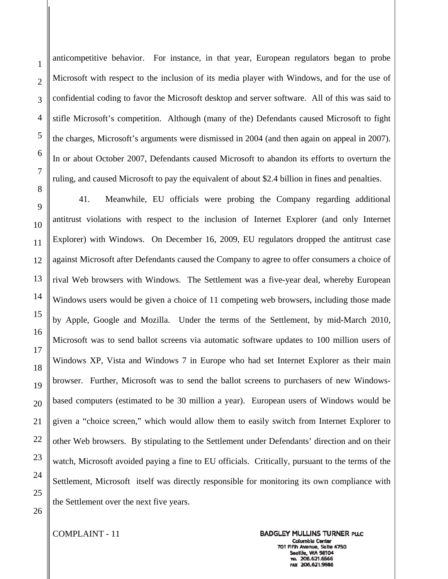anticompetitive behavior. For instance, in that year, European regulators began to probe Microsoft with respect to the inclusion of its media player with Windows, and for the use of confidential coding to favor the Microsoft desktop and server software. All of this was said to stifle Microsoft's competition. Although (many of the) Defendants caused Microsoft to fight the charges, Microsoft's arguments were dismissed in 2004 (and then again on appeal in 2007). In or about October 2007, Defendants caused Microsoft to abandon its efforts to overturn the ruling, and caused Microsoft to pay the equivalent of about \$2.4 billion in fines and penalties.

41. Meanwhile, EU officials were probing the Company regarding additional antitrust violations with respect to the inclusion of Internet Explorer (and only Internet Explorer) with Windows. On December 16, 2009, EU regulators dropped the antitrust case against Microsoft after Defendants caused the Company to agree to offer consumers a choice of rival Web browsers with Windows. The Settlement was a five-year deal, whereby European Windows users would be given a choice of 11 competing web browsers, including those made by Apple, Google and Mozilla. Under the terms of the Settlement, by mid-March 2010, Microsoft was to send ballot screens via automatic software updates to 100 million users of Windows XP, Vista and Windows 7 in Europe who had set Internet Explorer as their main browser. Further, Microsoft was to send the ballot screens to purchasers of new Windowsbased computers (estimated to be 30 million a year). European users of Windows would be given a "choice screen," which would allow them to easily switch from Internet Explorer to other Web browsers. By stipulating to the Settlement under Defendants' direction and on their watch, Microsoft avoided paying a fine to EU officials. Critically, pursuant to the terms of the Settlement, Microsoft itself was directly responsible for monitoring its own compliance with the Settlement over the next five years.

COMPLAINT - 11

**BADGLEY MULLINS TURNER PLC Columbia Center** 701 Fifth Avenue, Suite 4750 Seattle, WA 98104 TEL 206.621.6566 rax 206,621,9686

1

2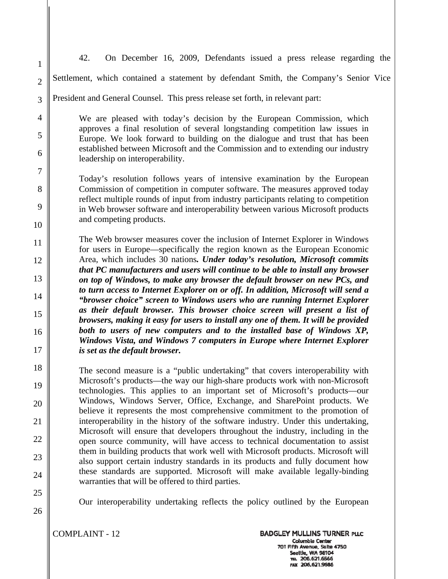1 2 3 4 5 6 7 8 9 10 11 12 13 14 15 16 17 18 19 20 21 22 23 42. On December 16, 2009, Defendants issued a press release regarding the Settlement, which contained a statement by defendant Smith, the Company's Senior Vice President and General Counsel. This press release set forth, in relevant part: We are pleased with today's decision by the European Commission, which approves a final resolution of several longstanding competition law issues in Europe. We look forward to building on the dialogue and trust that has been established between Microsoft and the Commission and to extending our industry leadership on interoperability. Today's resolution follows years of intensive examination by the European Commission of competition in computer software. The measures approved today reflect multiple rounds of input from industry participants relating to competition in Web browser software and interoperability between various Microsoft products and competing products. The Web browser measures cover the inclusion of Internet Explorer in Windows for users in Europe—specifically the region known as the European Economic Area, which includes 30 nations*. Under today's resolution, Microsoft commits that PC manufacturers and users will continue to be able to install any browser on top of Windows, to make any browser the default browser on new PCs, and to turn access to Internet Explorer on or off. In addition, Microsoft will send a "browser choice" screen to Windows users who are running Internet Explorer as their default browser. This browser choice screen will present a list of browsers, making it easy for users to install any one of them. It will be provided both to users of new computers and to the installed base of Windows XP, Windows Vista, and Windows 7 computers in Europe where Internet Explorer is set as the default browser.*  The second measure is a "public undertaking" that covers interoperability with Microsoft's products—the way our high-share products work with non-Microsoft technologies. This applies to an important set of Microsoft's products—our Windows, Windows Server, Office, Exchange, and SharePoint products. We believe it represents the most comprehensive commitment to the promotion of interoperability in the history of the software industry. Under this undertaking, Microsoft will ensure that developers throughout the industry, including in the open source community, will have access to technical documentation to assist them in building products that work well with Microsoft products. Microsoft will

25 26

24

Our interoperability undertaking reflects the policy outlined by the European

also support certain industry standards in its products and fully document how these standards are supported. Microsoft will make available legally-binding

warranties that will be offered to third parties.

COMPLAINT - 12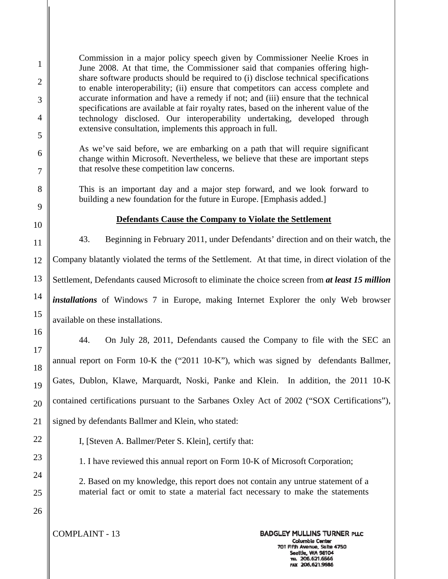Commission in a major policy speech given by Commissioner Neelie Kroes in June 2008. At that time, the Commissioner said that companies offering highshare software products should be required to (i) disclose technical specifications to enable interoperability; (ii) ensure that competitors can access complete and accurate information and have a remedy if not; and (iii) ensure that the technical specifications are available at fair royalty rates, based on the inherent value of the technology disclosed. Our interoperability undertaking, developed through extensive consultation, implements this approach in full.

As we've said before, we are embarking on a path that will require significant change within Microsoft. Nevertheless, we believe that these are important steps that resolve these competition law concerns.

This is an important day and a major step forward, and we look forward to building a new foundation for the future in Europe. [Emphasis added.]

1

2

3

4

5

6

7

8

9

10

11

12

13

14

15

16

17

18

19

20

21

22

23

# **Defendants Cause the Company to Violate the Settlement**

43. Beginning in February 2011, under Defendants' direction and on their watch, the Company blatantly violated the terms of the Settlement. At that time, in direct violation of the Settlement, Defendants caused Microsoft to eliminate the choice screen from *at least 15 million installations* of Windows 7 in Europe, making Internet Explorer the only Web browser available on these installations.

44. On July 28, 2011, Defendants caused the Company to file with the SEC an annual report on Form 10-K the ("2011 10-K"), which was signed by defendants Ballmer, Gates, Dublon, Klawe, Marquardt, Noski, Panke and Klein. In addition, the 2011 10-K contained certifications pursuant to the Sarbanes Oxley Act of 2002 ("SOX Certifications"), signed by defendants Ballmer and Klein, who stated:

I, [Steven A. Ballmer/Peter S. Klein], certify that:

1. I have reviewed this annual report on Form 10-K of Microsoft Corporation;

2. Based on my knowledge, this report does not contain any untrue statement of a material fact or omit to state a material fact necessary to make the statements

24 25

26

COMPLAINT - 13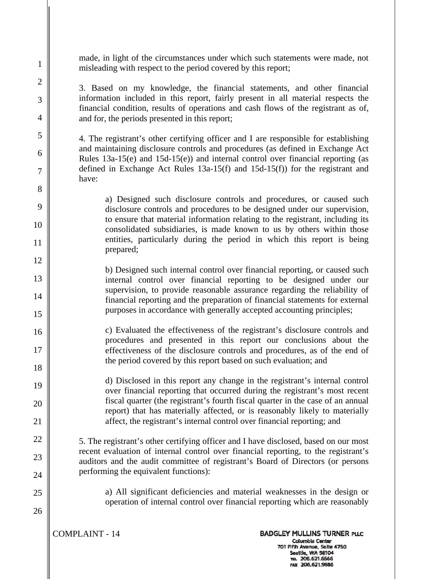made, in light of the circumstances under which such statements were made, not misleading with respect to the period covered by this report;

3. Based on my knowledge, the financial statements, and other financial information included in this report, fairly present in all material respects the financial condition, results of operations and cash flows of the registrant as of, and for, the periods presented in this report;

4. The registrant's other certifying officer and I are responsible for establishing and maintaining disclosure controls and procedures (as defined in Exchange Act Rules 13a-15(e) and 15d-15(e)) and internal control over financial reporting (as defined in Exchange Act Rules 13a-15(f) and 15d-15(f)) for the registrant and have:

a) Designed such disclosure controls and procedures, or caused such disclosure controls and procedures to be designed under our supervision, to ensure that material information relating to the registrant, including its consolidated subsidiaries, is made known to us by others within those entities, particularly during the period in which this report is being prepared;

b) Designed such internal control over financial reporting, or caused such internal control over financial reporting to be designed under our supervision, to provide reasonable assurance regarding the reliability of financial reporting and the preparation of financial statements for external purposes in accordance with generally accepted accounting principles;

c) Evaluated the effectiveness of the registrant's disclosure controls and procedures and presented in this report our conclusions about the effectiveness of the disclosure controls and procedures, as of the end of the period covered by this report based on such evaluation; and

d) Disclosed in this report any change in the registrant's internal control over financial reporting that occurred during the registrant's most recent fiscal quarter (the registrant's fourth fiscal quarter in the case of an annual report) that has materially affected, or is reasonably likely to materially affect, the registrant's internal control over financial reporting; and

5. The registrant's other certifying officer and I have disclosed, based on our most recent evaluation of internal control over financial reporting, to the registrant's auditors and the audit committee of registrant's Board of Directors (or persons performing the equivalent functions):

> a) All significant deficiencies and material weaknesses in the design or operation of internal control over financial reporting which are reasonably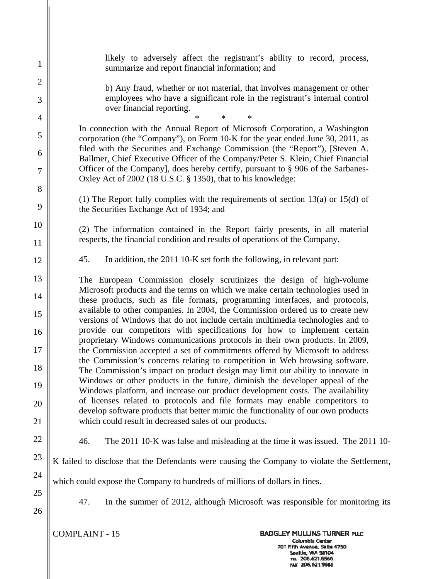| 1              | likely to adversely affect the registrant's ability to record, process,<br>summarize and report financial information; and                                       |  |
|----------------|------------------------------------------------------------------------------------------------------------------------------------------------------------------|--|
| $\overline{2}$ | b) Any fraud, whether or not material, that involves management or other                                                                                         |  |
| 3              | employees who have a significant role in the registrant's internal control<br>over financial reporting.                                                          |  |
| $\overline{4}$ | $\ast$                                                                                                                                                           |  |
| 5              | In connection with the Annual Report of Microsoft Corporation, a Washington<br>corporation (the "Company"), on Form 10-K for the year ended June 30, 2011, as    |  |
| 6              | filed with the Securities and Exchange Commission (the "Report"), [Steven A.<br>Ballmer, Chief Executive Officer of the Company/Peter S. Klein, Chief Financial  |  |
| 7              | Officer of the Company], does hereby certify, pursuant to § 906 of the Sarbanes-<br>Oxley Act of 2002 (18 U.S.C. § 1350), that to his knowledge:                 |  |
| 8              |                                                                                                                                                                  |  |
| 9              | (1) The Report fully complies with the requirements of section $13(a)$ or $15(d)$ of<br>the Securities Exchange Act of 1934; and                                 |  |
| 10             | (2) The information contained in the Report fairly presents, in all material                                                                                     |  |
| 11             | respects, the financial condition and results of operations of the Company.                                                                                      |  |
| 12             | In addition, the 2011 10-K set forth the following, in relevant part:<br>45.                                                                                     |  |
| 13             | The European Commission closely scrutinizes the design of high-volume                                                                                            |  |
| 14             | Microsoft products and the terms on which we make certain technologies used in<br>these products, such as file formats, programming interfaces, and protocols,   |  |
| 15             | available to other companies. In 2004, the Commission ordered us to create new<br>versions of Windows that do not include certain multimedia technologies and to |  |
| 16             | provide our competitors with specifications for how to implement certain                                                                                         |  |
| 17             | proprietary Windows communications protocols in their own products. In 2009,<br>the Commission accepted a set of commitments offered by Microsoft to address     |  |
| 18             | the Commission's concerns relating to competition in Web browsing software.<br>The Commission's impact on product design may limit our ability to innovate in    |  |
| 19             | Windows or other products in the future, diminish the developer appeal of the<br>Windows platform, and increase our product development costs. The availability  |  |
| 20             | of licenses related to protocols and file formats may enable competitors to                                                                                      |  |
| 21             | develop software products that better mimic the functionality of our own products<br>which could result in decreased sales of our products.                      |  |
| 22             | 46.<br>The 2011 10-K was false and misleading at the time it was issued. The 2011 10-                                                                            |  |
| 23             | K failed to disclose that the Defendants were causing the Company to violate the Settlement,                                                                     |  |
| 24             | which could expose the Company to hundreds of millions of dollars in fines.                                                                                      |  |
| 25             |                                                                                                                                                                  |  |
| 26             | 47.<br>In the summer of 2012, although Microsoft was responsible for monitoring its                                                                              |  |
|                | <b>COMPLAINT - 15</b><br><b>BADGLEY MULLINS TURNER PLLC</b>                                                                                                      |  |

Coloration Coloration<br>701 Fifth Avenue, Suite 4750<br>701 Fifth Avenue, Suite 4750<br>761 Fifth Avenue, Suite 4750<br>765 FAX 206.621.9586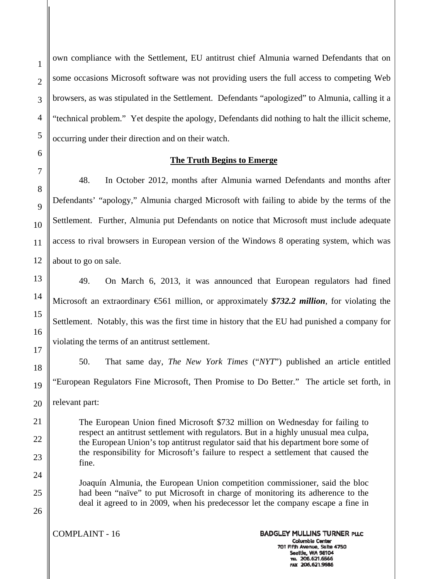1 4 6 own compliance with the Settlement, EU antitrust chief Almunia warned Defendants that on some occasions Microsoft software was not providing users the full access to competing Web browsers, as was stipulated in the Settlement. Defendants "apologized" to Almunia, calling it a "technical problem." Yet despite the apology, Defendants did nothing to halt the illicit scheme, occurring under their direction and on their watch. **The Truth Begins to Emerge**

48. In October 2012, months after Almunia warned Defendants and months after Defendants' "apology," Almunia charged Microsoft with failing to abide by the terms of the Settlement. Further, Almunia put Defendants on notice that Microsoft must include adequate access to rival browsers in European version of the Windows 8 operating system, which was about to go on sale.

49. On March 6, 2013, it was announced that European regulators had fined Microsoft an extraordinary €561 million, or approximately *\$732.2 million*, for violating the Settlement. Notably, this was the first time in history that the EU had punished a company for violating the terms of an antitrust settlement.

50. That same day, *The New York Times* ("*NYT*") published an article entitled "European Regulators Fine Microsoft, Then Promise to Do Better." The article set forth, in relevant part:

The European Union fined Microsoft \$732 million on Wednesday for failing to respect an antitrust settlement with regulators. But in a highly unusual mea culpa, the European Union's top antitrust regulator said that his department bore some of the responsibility for Microsoft's failure to respect a settlement that caused the fine.

Joaquín Almunia, the European Union competition commissioner, said the bloc had been "naïve" to put Microsoft in charge of monitoring its adherence to the deal it agreed to in 2009, when his predecessor let the company escape a fine in

COMPLAINT - 16

**BADGLEY MULLINS TURNER PLC** Columbia Center 701 Fifth Avenue, Suite 4750 Seattle, WA 98104 TEL 206.621.6566 rax 206,621,9686

26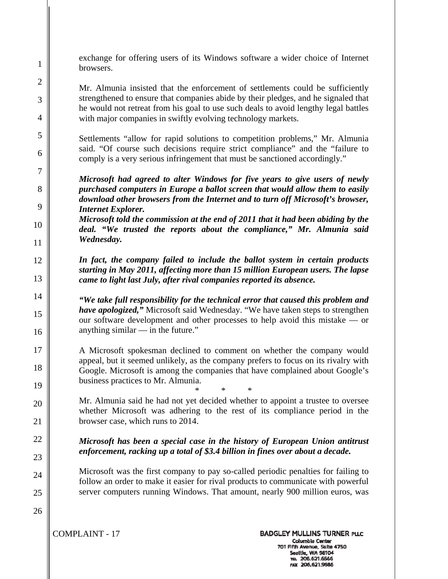exchange for offering users of its Windows software a wider choice of Internet browsers.

Mr. Almunia insisted that the enforcement of settlements could be sufficiently strengthened to ensure that companies abide by their pledges, and he signaled that he would not retreat from his goal to use such deals to avoid lengthy legal battles with major companies in swiftly evolving technology markets.

Settlements "allow for rapid solutions to competition problems," Mr. Almunia said. "Of course such decisions require strict compliance" and the "failure to comply is a very serious infringement that must be sanctioned accordingly."

*Microsoft had agreed to alter Windows for five years to give users of newly purchased computers in Europe a ballot screen that would allow them to easily download other browsers from the Internet and to turn off Microsoft's browser, Internet Explorer.* 

*Microsoft told the commission at the end of 2011 that it had been abiding by the deal. "We trusted the reports about the compliance," Mr. Almunia said Wednesday.* 

*In fact, the company failed to include the ballot system in certain products starting in May 2011, affecting more than 15 million European users. The lapse came to light last July, after rival companies reported its absence.* 

*"We take full responsibility for the technical error that caused this problem and have apologized,"* Microsoft said Wednesday. "We have taken steps to strengthen our software development and other processes to help avoid this mistake — or anything similar — in the future."

A Microsoft spokesman declined to comment on whether the company would appeal, but it seemed unlikely, as the company prefers to focus on its rivalry with Google. Microsoft is among the companies that have complained about Google's business practices to Mr. Almunia.

\* \* \* Mr. Almunia said he had not yet decided whether to appoint a trustee to oversee whether Microsoft was adhering to the rest of its compliance period in the browser case, which runs to 2014.

*Microsoft has been a special case in the history of European Union antitrust enforcement, racking up a total of \$3.4 billion in fines over about a decade.* 

Microsoft was the first company to pay so-called periodic penalties for failing to follow an order to make it easier for rival products to communicate with powerful server computers running Windows. That amount, nearly 900 million euros, was

26

1

2

3

4

5

6

7

8

9

10

11

12

13

14

15

16

17

18

19

20

21

22

23

24

25

COMPLAINT - 17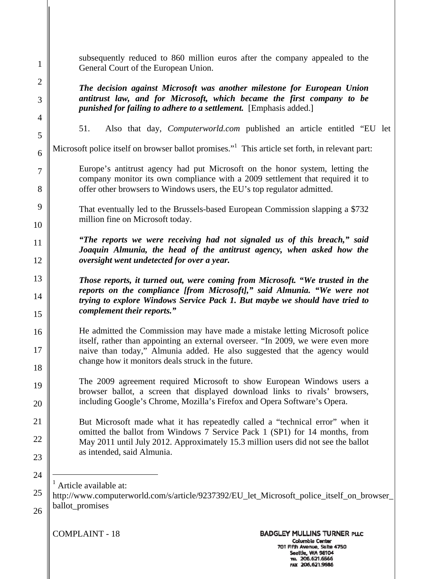subsequently reduced to 860 million euros after the company appealed to the 1 General Court of the European Union. 2 *The decision against Microsoft was another milestone for European Union antitrust law, and for Microsoft, which became the first company to be*  3 *punished for failing to adhere to a settlement.* [Emphasis added.] 4 51. Also that day, *Computerworld.com* published an article entitled "EU let 5 Microsoft police itself on browser ballot promises."<sup>1</sup> This article set forth, in relevant part: 6 Europe's antitrust agency had put Microsoft on the honor system, letting the 7 company monitor its own compliance with a 2009 settlement that required it to 8 offer other browsers to Windows users, the EU's top regulator admitted. 9 That eventually led to the Brussels-based European Commission slapping a \$732 million fine on Microsoft today. 10 *"The reports we were receiving had not signaled us of this breach," said*  11 *Joaquin Almunia, the head of the antitrust agency, when asked how the oversight went undetected for over a year.*  12 13 *Those reports, it turned out, were coming from Microsoft. "We trusted in the reports on the compliance [from Microsoft]," said Almunia. "We were not*  14 *trying to explore Windows Service Pack 1. But maybe we should have tried to complement their reports."*  15 He admitted the Commission may have made a mistake letting Microsoft police 16 itself, rather than appointing an external overseer. "In 2009, we were even more naive than today," Almunia added. He also suggested that the agency would 17 change how it monitors deals struck in the future. 18 The 2009 agreement required Microsoft to show European Windows users a 19 browser ballot, a screen that displayed download links to rivals' browsers, including Google's Chrome, Mozilla's Firefox and Opera Software's Opera. 20 21 But Microsoft made what it has repeatedly called a "technical error" when it omitted the ballot from Windows 7 Service Pack 1 (SP1) for 14 months, from 22 May 2011 until July 2012. Approximately 15.3 million users did not see the ballot as intended, said Almunia. 23  $\overline{\phantom{a}}$ 24 <sup>1</sup> Article available at: 25 http://www.computerworld.com/s/article/9237392/EU let Microsoft police itself on browser ballot\_promises 26 **BADGLEY MULLINS TURNER PLC** COMPLAINT - 18

Columbia Center 701 Fifth Avenue, Suite 4750 Seattle, WA 98104 TEL 206.621.6566 rax 206,621,9686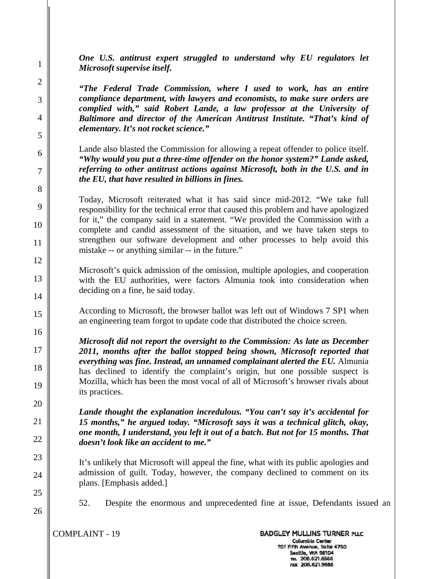*One U.S. antitrust expert struggled to understand why EU regulators let Microsoft supervise itself.* 

*"The Federal Trade Commission, where I used to work, has an entire compliance department, with lawyers and economists, to make sure orders are complied with," said Robert Lande, a law professor at the University of Baltimore and director of the American Antitrust Institute. "That's kind of elementary. It's not rocket science."* 

Lande also blasted the Commission for allowing a repeat offender to police itself. *"Why would you put a three-time offender on the honor system?" Lande asked, referring to other antitrust actions against Microsoft, both in the U.S. and in the EU, that have resulted in billions in fines.* 

Today, Microsoft reiterated what it has said since mid-2012. "We take full responsibility for the technical error that caused this problem and have apologized for it," the company said in a statement. "We provided the Commission with a complete and candid assessment of the situation, and we have taken steps to strengthen our software development and other processes to help avoid this mistake -- or anything similar -- in the future."

Microsoft's quick admission of the omission, multiple apologies, and cooperation with the EU authorities, were factors Almunia took into consideration when deciding on a fine, he said today.

According to Microsoft, the browser ballot was left out of Windows 7 SP1 when an engineering team forgot to update code that distributed the choice screen.

*Microsoft did not report the oversight to the Commission: As late as December 2011, months after the ballot stopped being shown, Microsoft reported that everything was fine. Instead, an unnamed complainant alerted the EU.* Almunia has declined to identify the complaint's origin, but one possible suspect is Mozilla, which has been the most vocal of all of Microsoft's browser rivals about its practices.

*Lande thought the explanation incredulous. "You can't say it's accidental for 15 months," he argued today. "Microsoft says it was a technical glitch, okay, one month, I understand, you left it out of a batch. But not for 15 months. That doesn't look like an accident to me."* 

It's unlikely that Microsoft will appeal the fine, what with its public apologies and admission of guilt. Today, however, the company declined to comment on its plans. [Emphasis added.]

26

1

2

3

4

5

6

7

8

9

10

11

12

13

14

15

16

17

18

19

20

21

22

23

24

25

52. Despite the enormous and unprecedented fine at issue, Defendants issued an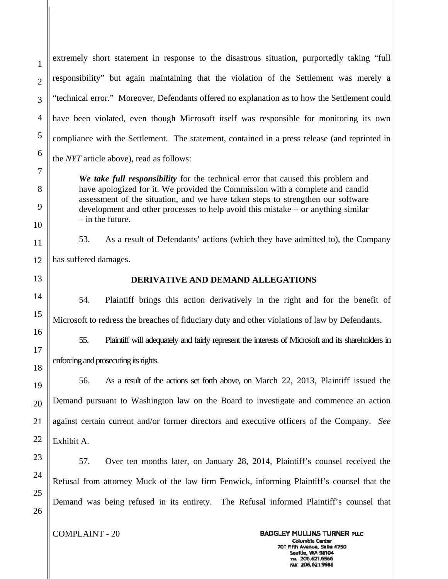extremely short statement in response to the disastrous situation, purportedly taking "full responsibility" but again maintaining that the violation of the Settlement was merely a "technical error." Moreover, Defendants offered no explanation as to how the Settlement could have been violated, even though Microsoft itself was responsible for monitoring its own compliance with the Settlement. The statement, contained in a press release (and reprinted in the *NYT* article above), read as follows:

*We take full responsibility* for the technical error that caused this problem and have apologized for it. We provided the Commission with a complete and candid assessment of the situation, and we have taken steps to strengthen our software development and other processes to help avoid this mistake – or anything similar – in the future.

53. As a result of Defendants' actions (which they have admitted to), the Company has suffered damages.

13

1

2

3

4

5

6

7

8

9

10

11

12

14

15

16

17

18

19

20

21

22

23

24

25

26

## **DERIVATIVE AND DEMAND ALLEGATIONS**

54. Plaintiff brings this action derivatively in the right and for the benefit of Microsoft to redress the breaches of fiduciary duty and other violations of law by Defendants.

55. Plaintiff will adequately and fairly represent the interests of Microsoft and its shareholders in enforcing and prosecuting its rights.

56. As a result of the actions set forth above, on March 22, 2013, Plaintiff issued the Demand pursuant to Washington law on the Board to investigate and commence an action against certain current and/or former directors and executive officers of the Company. *See*  Exhibit A.

57. Over ten months later, on January 28, 2014, Plaintiff's counsel received the Refusal from attorney Muck of the law firm Fenwick, informing Plaintiff's counsel that the Demand was being refused in its entirety. The Refusal informed Plaintiff's counsel that

COMPLAINT - 20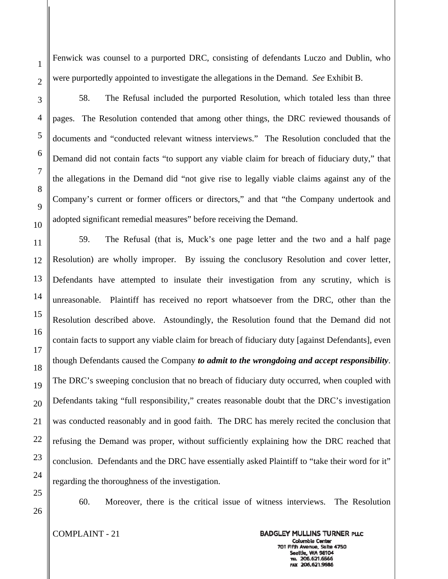Fenwick was counsel to a purported DRC, consisting of defendants Luczo and Dublin, who were purportedly appointed to investigate the allegations in the Demand. *See* Exhibit B.

1

2

3

4

5

6

7

8

9

10

11

12

13

14

15

16

17

18

19

20

21

22

23

24

58. The Refusal included the purported Resolution, which totaled less than three pages. The Resolution contended that among other things, the DRC reviewed thousands of documents and "conducted relevant witness interviews." The Resolution concluded that the Demand did not contain facts "to support any viable claim for breach of fiduciary duty," that the allegations in the Demand did "not give rise to legally viable claims against any of the Company's current or former officers or directors," and that "the Company undertook and adopted significant remedial measures" before receiving the Demand.

59. The Refusal (that is, Muck's one page letter and the two and a half page Resolution) are wholly improper. By issuing the conclusory Resolution and cover letter, Defendants have attempted to insulate their investigation from any scrutiny, which is unreasonable. Plaintiff has received no report whatsoever from the DRC, other than the Resolution described above. Astoundingly, the Resolution found that the Demand did not contain facts to support any viable claim for breach of fiduciary duty [against Defendants], even though Defendants caused the Company *to admit to the wrongdoing and accept responsibility*. The DRC's sweeping conclusion that no breach of fiduciary duty occurred, when coupled with Defendants taking "full responsibility," creates reasonable doubt that the DRC's investigation was conducted reasonably and in good faith. The DRC has merely recited the conclusion that refusing the Demand was proper, without sufficiently explaining how the DRC reached that conclusion. Defendants and the DRC have essentially asked Plaintiff to "take their word for it" regarding the thoroughness of the investigation.

25 26

60. Moreover, there is the critical issue of witness interviews. The Resolution

COMPLAINT - 21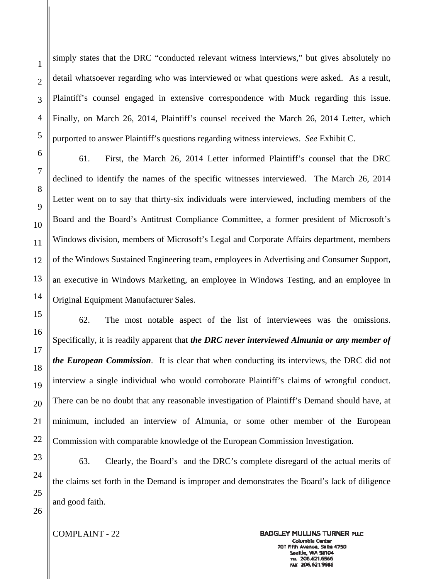simply states that the DRC "conducted relevant witness interviews," but gives absolutely no detail whatsoever regarding who was interviewed or what questions were asked. As a result, Plaintiff's counsel engaged in extensive correspondence with Muck regarding this issue. Finally, on March 26, 2014, Plaintiff's counsel received the March 26, 2014 Letter, which purported to answer Plaintiff's questions regarding witness interviews. *See* Exhibit C.

61. First, the March 26, 2014 Letter informed Plaintiff's counsel that the DRC declined to identify the names of the specific witnesses interviewed. The March 26, 2014 Letter went on to say that thirty-six individuals were interviewed, including members of the Board and the Board's Antitrust Compliance Committee, a former president of Microsoft's Windows division, members of Microsoft's Legal and Corporate Affairs department, members of the Windows Sustained Engineering team, employees in Advertising and Consumer Support, an executive in Windows Marketing, an employee in Windows Testing, and an employee in Original Equipment Manufacturer Sales.

62. The most notable aspect of the list of interviewees was the omissions. Specifically, it is readily apparent that *the DRC never interviewed Almunia or any member of the European Commission*. It is clear that when conducting its interviews, the DRC did not interview a single individual who would corroborate Plaintiff's claims of wrongful conduct. There can be no doubt that any reasonable investigation of Plaintiff's Demand should have, at minimum, included an interview of Almunia, or some other member of the European Commission with comparable knowledge of the European Commission Investigation.

63. Clearly, the Board's and the DRC's complete disregard of the actual merits of the claims set forth in the Demand is improper and demonstrates the Board's lack of diligence and good faith.

COMPLAINT - 22

**BADGLEY MULLINS TURNER PLC Columbia Center** 701 Fifth Avenue, Suite 4750 Seattle, WA 98104 TEL 206.621.6566 rax 206,621,9686

1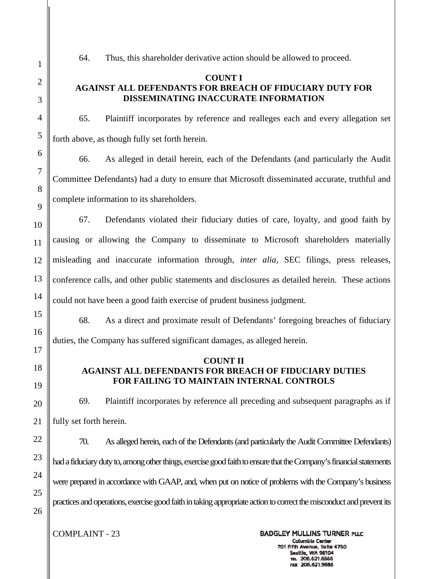64. Thus, this shareholder derivative action should be allowed to proceed.

# **COUNT I AGAINST ALL DEFENDANTS FOR BREACH OF FIDUCIARY DUTY FOR DISSEMINATING INACCURATE INFORMATION**

65. Plaintiff incorporates by reference and realleges each and every allegation set forth above, as though fully set forth herein.

66. As alleged in detail herein, each of the Defendants (and particularly the Audit Committee Defendants) had a duty to ensure that Microsoft disseminated accurate, truthful and complete information to its shareholders.

67. Defendants violated their fiduciary duties of care, loyalty, and good faith by causing or allowing the Company to disseminate to Microsoft shareholders materially misleading and inaccurate information through, *inter alia*, SEC filings, press releases, conference calls, and other public statements and disclosures as detailed herein. These actions could not have been a good faith exercise of prudent business judgment.

68. As a direct and proximate result of Defendants' foregoing breaches of fiduciary duties, the Company has suffered significant damages, as alleged herein.

## **COUNT II AGAINST ALL DEFENDANTS FOR BREACH OF FIDUCIARY DUTIES FOR FAILING TO MAINTAIN INTERNAL CONTROLS**

69. Plaintiff incorporates by reference all preceding and subsequent paragraphs as if fully set forth herein.

70. As alleged herein, each of the Defendants (and particularly the Audit Committee Defendants) had a fiduciary duty to, among other things, exercise good faith to ensure that the Company's financial statements were prepared in accordance with GAAP, and, when put on notice of problems with the Company's business practices and operations, exercise good faith in taking appropriate action to correct the misconduct and prevent its

COMPLAINT - 23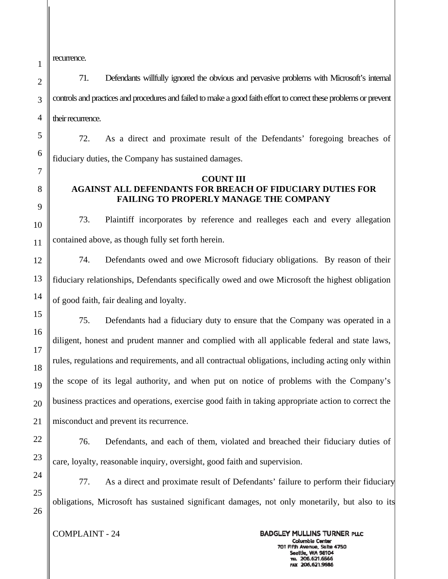recurrence.

71. Defendants willfully ignored the obvious and pervasive problems with Microsoft's internal controls and practices and procedures and failed to make a good faith effort to correct these problems or prevent their recurrence.

72. As a direct and proximate result of the Defendants' foregoing breaches of fiduciary duties, the Company has sustained damages.

#### **COUNT III AGAINST ALL DEFENDANTS FOR BREACH OF FIDUCIARY DUTIES FOR FAILING TO PROPERLY MANAGE THE COMPANY**

73. Plaintiff incorporates by reference and realleges each and every allegation contained above, as though fully set forth herein.

74. Defendants owed and owe Microsoft fiduciary obligations. By reason of their fiduciary relationships, Defendants specifically owed and owe Microsoft the highest obligation of good faith, fair dealing and loyalty.

75. Defendants had a fiduciary duty to ensure that the Company was operated in a diligent, honest and prudent manner and complied with all applicable federal and state laws, rules, regulations and requirements, and all contractual obligations, including acting only within the scope of its legal authority, and when put on notice of problems with the Company's business practices and operations, exercise good faith in taking appropriate action to correct the misconduct and prevent its recurrence.

76. Defendants, and each of them, violated and breached their fiduciary duties of care, loyalty, reasonable inquiry, oversight, good faith and supervision.

77. As a direct and proximate result of Defendants' failure to perform their fiduciary obligations, Microsoft has sustained significant damages, not only monetarily, but also to its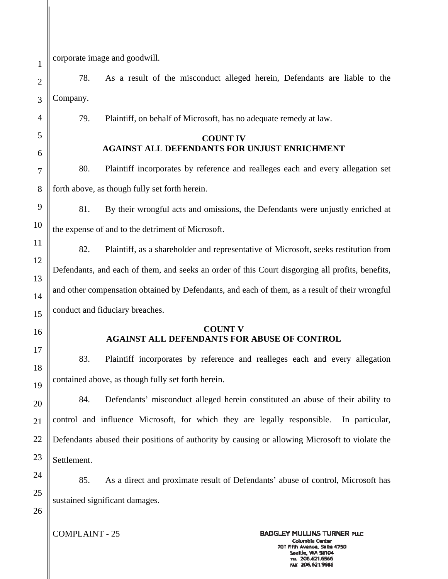| 1              | corporate image and goodwill.                                                                                                                                           |  |
|----------------|-------------------------------------------------------------------------------------------------------------------------------------------------------------------------|--|
| $\overline{2}$ | As a result of the misconduct alleged herein, Defendants are liable to the<br>78.                                                                                       |  |
| 3              | Company.                                                                                                                                                                |  |
| $\overline{4}$ | 79.<br>Plaintiff, on behalf of Microsoft, has no adequate remedy at law.                                                                                                |  |
| 5              | <b>COUNT IV</b>                                                                                                                                                         |  |
| 6              | <b>AGAINST ALL DEFENDANTS FOR UNJUST ENRICHMENT</b>                                                                                                                     |  |
| 7              | 80.<br>Plaintiff incorporates by reference and realleges each and every allegation set                                                                                  |  |
| 8              | forth above, as though fully set forth herein.                                                                                                                          |  |
| 9              | By their wrongful acts and omissions, the Defendants were unjustly enriched at<br>81.                                                                                   |  |
| 10             | the expense of and to the detriment of Microsoft.                                                                                                                       |  |
| 11             | 82.<br>Plaintiff, as a shareholder and representative of Microsoft, seeks restitution from                                                                              |  |
| 12             | Defendants, and each of them, and seeks an order of this Court disgorging all profits, benefits,                                                                        |  |
| 13<br>14       | and other compensation obtained by Defendants, and each of them, as a result of their wrongful                                                                          |  |
| 15             | conduct and fiduciary breaches.                                                                                                                                         |  |
| 16             | <b>COUNT V</b>                                                                                                                                                          |  |
| 17             | <b>AGAINST ALL DEFENDANTS FOR ABUSE OF CONTROL</b>                                                                                                                      |  |
| 18             | 83.<br>Plaintiff incorporates by reference and realleges each and every allegation                                                                                      |  |
| 19             | contained above, as though fully set forth herein.                                                                                                                      |  |
| 20             | 84.<br>Defendants' misconduct alleged herein constituted an abuse of their ability to                                                                                   |  |
| 21             | control and influence Microsoft, for which they are legally responsible.<br>In particular,                                                                              |  |
| 22             | Defendants abused their positions of authority by causing or allowing Microsoft to violate the                                                                          |  |
| 23             | Settlement.                                                                                                                                                             |  |
| 24             | 85.<br>As a direct and proximate result of Defendants' abuse of control, Microsoft has                                                                                  |  |
| 25             | sustained significant damages.                                                                                                                                          |  |
| 26             |                                                                                                                                                                         |  |
|                | <b>COMPLAINT - 25</b><br><b>BADGLEY MULLINS TURNER PLLC</b><br>Columbia Centar<br>701 Fifth Avenue, Suite 4750<br>Seattle, WA 98104<br>206.621.6566<br>rax 206,621,9686 |  |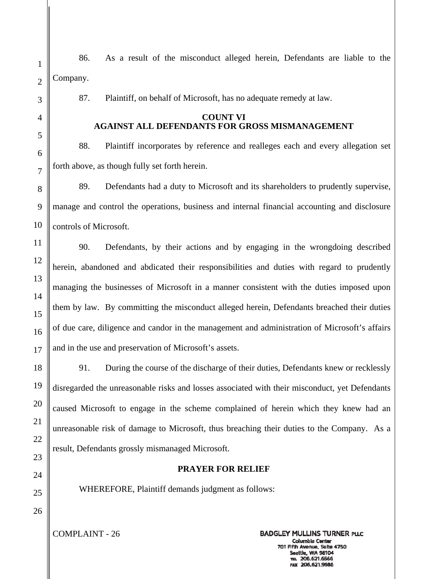86. As a result of the misconduct alleged herein, Defendants are liable to the Company.

87. Plaintiff, on behalf of Microsoft, has no adequate remedy at law.

# **COUNT VI**

# **AGAINST ALL DEFENDANTS FOR GROSS MISMANAGEMENT**

88. Plaintiff incorporates by reference and realleges each and every allegation set forth above, as though fully set forth herein.

89. Defendants had a duty to Microsoft and its shareholders to prudently supervise, manage and control the operations, business and internal financial accounting and disclosure controls of Microsoft.

90. Defendants, by their actions and by engaging in the wrongdoing described herein, abandoned and abdicated their responsibilities and duties with regard to prudently managing the businesses of Microsoft in a manner consistent with the duties imposed upon them by law. By committing the misconduct alleged herein, Defendants breached their duties of due care, diligence and candor in the management and administration of Microsoft's affairs and in the use and preservation of Microsoft's assets.

91. During the course of the discharge of their duties, Defendants knew or recklessly disregarded the unreasonable risks and losses associated with their misconduct, yet Defendants caused Microsoft to engage in the scheme complained of herein which they knew had an unreasonable risk of damage to Microsoft, thus breaching their duties to the Company. As a result, Defendants grossly mismanaged Microsoft.

# **PRAYER FOR RELIEF**

WHEREFORE, Plaintiff demands judgment as follows:

COMPLAINT - 26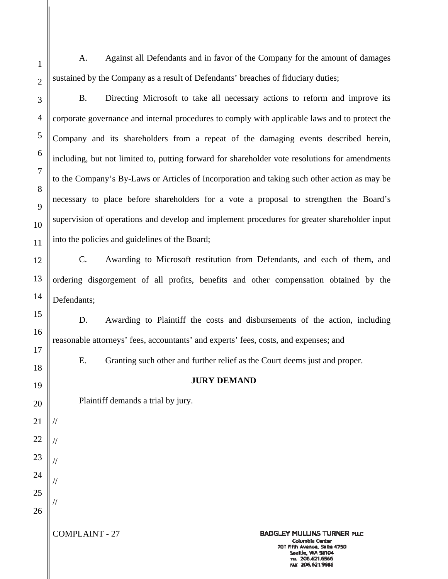A. Against all Defendants and in favor of the Company for the amount of damages sustained by the Company as a result of Defendants' breaches of fiduciary duties;

1

2

3

4

5

6

7

8

9

10

11

12

13

14

15

16

17

18

19

20

21

//

//

//

//

//

22

23

24

25

26

 B. Directing Microsoft to take all necessary actions to reform and improve its corporate governance and internal procedures to comply with applicable laws and to protect the Company and its shareholders from a repeat of the damaging events described herein, including, but not limited to, putting forward for shareholder vote resolutions for amendments to the Company's By-Laws or Articles of Incorporation and taking such other action as may be necessary to place before shareholders for a vote a proposal to strengthen the Board's supervision of operations and develop and implement procedures for greater shareholder input into the policies and guidelines of the Board;

 C. Awarding to Microsoft restitution from Defendants, and each of them, and ordering disgorgement of all profits, benefits and other compensation obtained by the Defendants;

 D. Awarding to Plaintiff the costs and disbursements of the action, including reasonable attorneys' fees, accountants' and experts' fees, costs, and expenses; and

E. Granting such other and further relief as the Court deems just and proper.

# **JURY DEMAND**

Plaintiff demands a trial by jury.

COMPLAINT - 27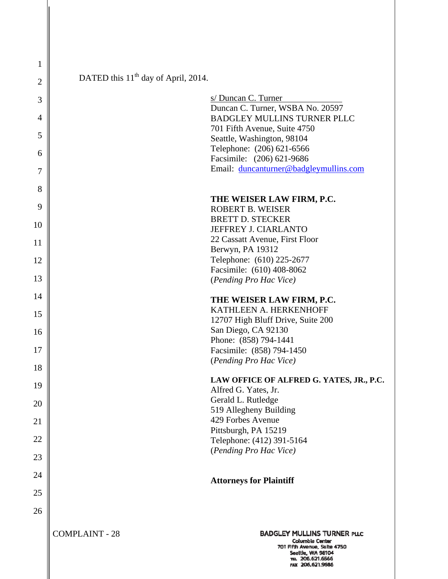| 1              | DATED this 11 <sup>th</sup> day of April, 2014.                                                                                                                             |
|----------------|-----------------------------------------------------------------------------------------------------------------------------------------------------------------------------|
| $\overline{2}$ |                                                                                                                                                                             |
| 3              | s/ Duncan C. Turner<br>Duncan C. Turner, WSBA No. 20597                                                                                                                     |
| $\overline{4}$ | <b>BADGLEY MULLINS TURNER PLLC</b>                                                                                                                                          |
| 5              | 701 Fifth Avenue, Suite 4750<br>Seattle, Washington, 98104                                                                                                                  |
| 6              | Telephone: (206) 621-6566                                                                                                                                                   |
| 7              | Facsimile: (206) 621-9686<br>Email: duncanturner@badgleymullins.com                                                                                                         |
| 8              |                                                                                                                                                                             |
| 9              | THE WEISER LAW FIRM, P.C.<br><b>ROBERT B. WEISER</b>                                                                                                                        |
| 10             | <b>BRETT D. STECKER</b>                                                                                                                                                     |
|                | JEFFREY J. CIARLANTO<br>22 Cassatt Avenue, First Floor                                                                                                                      |
| 11             | Berwyn, PA 19312                                                                                                                                                            |
| 12             | Telephone: (610) 225-2677                                                                                                                                                   |
| 13             | Facsimile: (610) 408-8062<br>(Pending Pro Hac Vice)                                                                                                                         |
|                |                                                                                                                                                                             |
| 14             | THE WEISER LAW FIRM, P.C.<br>KATHLEEN A. HERKENHOFF                                                                                                                         |
| 15             | 12707 High Bluff Drive, Suite 200                                                                                                                                           |
| 16             | San Diego, CA 92130                                                                                                                                                         |
|                | Phone: (858) 794-1441                                                                                                                                                       |
| 17             | Facsimile: (858) 794-1450<br>(Pending Pro Hac Vice)                                                                                                                         |
| 18             | LAW OFFICE OF ALFRED G. YATES, JR., P.C.                                                                                                                                    |
| 19             | Alfred G. Yates, Jr.                                                                                                                                                        |
| 20             | Gerald L. Rutledge<br>519 Allegheny Building                                                                                                                                |
| 21             | 429 Forbes Avenue                                                                                                                                                           |
|                | Pittsburgh, PA 15219                                                                                                                                                        |
| 22             | Telephone: (412) 391-5164<br>(Pending Pro Hac Vice)                                                                                                                         |
| 23             |                                                                                                                                                                             |
| 24             | <b>Attorneys for Plaintiff</b>                                                                                                                                              |
| 25             |                                                                                                                                                                             |
| 26             |                                                                                                                                                                             |
|                | <b>COMPLAINT - 28</b><br><b>BADGLEY MULLINS TURNER PLLC</b><br>Columbia Center<br>701 Fifth Avenue, Suite 4750<br>Seattle, WA 98104<br>TEL 206.621.6566<br>rax 206.621.9686 |